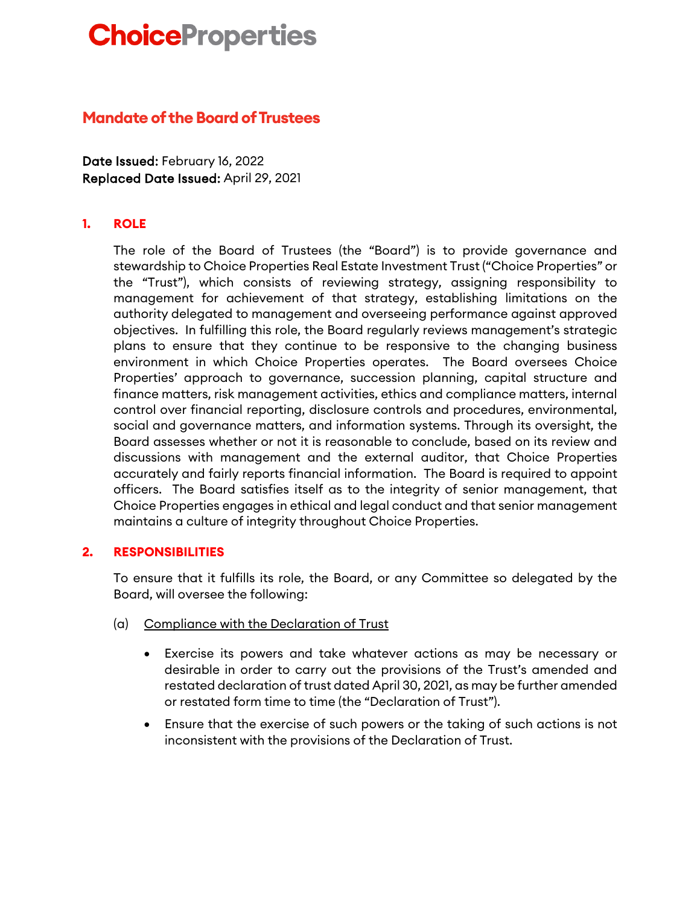# **ChoiceProperties**

# **Mandate of the Board of Trustees**

Date Issued: February 16, 2022 Replaced Date Issued: April 29, 2021

## **1. ROLE**

The role of the Board of Trustees (the "Board") is to provide governance and stewardship to Choice Properties Real Estate Investment Trust ("Choice Properties" or the "Trust"), which consists of reviewing strategy, assigning responsibility to management for achievement of that strategy, establishing limitations on the authority delegated to management and overseeing performance against approved objectives. In fulfilling this role, the Board regularly reviews management's strategic plans to ensure that they continue to be responsive to the changing business environment in which Choice Properties operates. The Board oversees Choice Properties' approach to governance, succession planning, capital structure and finance matters, risk management activities, ethics and compliance matters, internal control over financial reporting, disclosure controls and procedures, environmental, social and governance matters, and information systems. Through its oversight, the Board assesses whether or not it is reasonable to conclude, based on its review and discussions with management and the external auditor, that Choice Properties accurately and fairly reports financial information. The Board is required to appoint officers. The Board satisfies itself as to the integrity of senior management, that Choice Properties engages in ethical and legal conduct and that senior management maintains a culture of integrity throughout Choice Properties.

#### **2. RESPONSIBILITIES**

To ensure that it fulfills its role, the Board, or any Committee so delegated by the Board, will oversee the following:

- (a) Compliance with the Declaration of Trust
	- Exercise its powers and take whatever actions as may be necessary or desirable in order to carry out the provisions of the Trust's amended and restated declaration of trust dated April 30, 2021, as may be further amended or restated form time to time (the "Declaration of Trust").
	- Ensure that the exercise of such powers or the taking of such actions is not inconsistent with the provisions of the Declaration of Trust.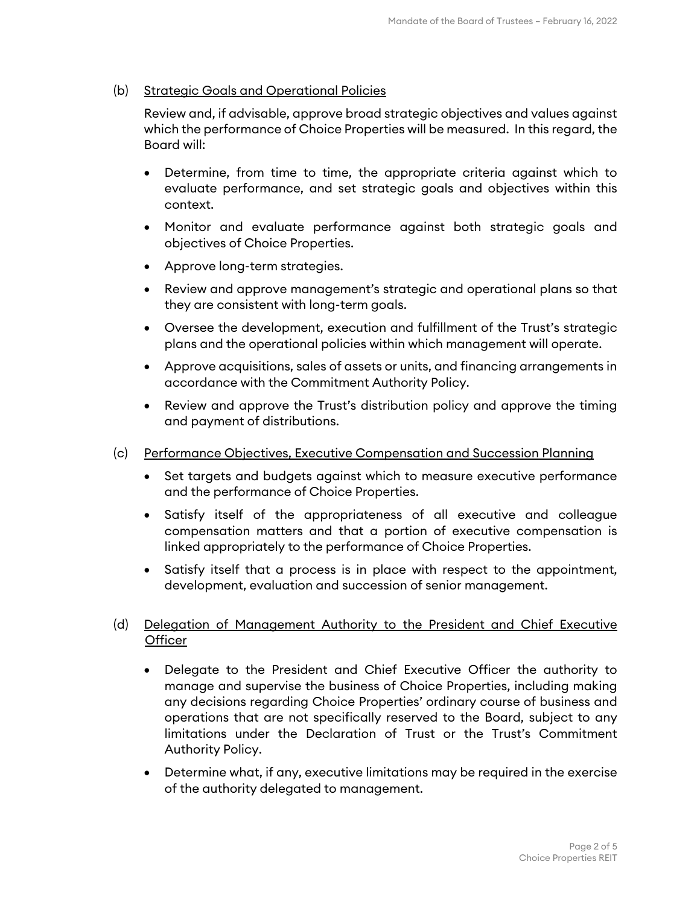#### (b) Strategic Goals and Operational Policies

Review and, if advisable, approve broad strategic objectives and values against which the performance of Choice Properties will be measured. In this regard, the Board will:

- Determine, from time to time, the appropriate criteria against which to evaluate performance, and set strategic goals and objectives within this context.
- Monitor and evaluate performance against both strategic goals and objectives of Choice Properties.
- Approve long-term strategies.
- Review and approve management's strategic and operational plans so that they are consistent with long-term goals.
- Oversee the development, execution and fulfillment of the Trust's strategic plans and the operational policies within which management will operate.
- Approve acquisitions, sales of assets or units, and financing arrangements in accordance with the Commitment Authority Policy.
- Review and approve the Trust's distribution policy and approve the timing and payment of distributions.
- (c) Performance Objectives, Executive Compensation and Succession Planning
	- Set targets and budgets against which to measure executive performance and the performance of Choice Properties.
	- Satisfy itself of the appropriateness of all executive and colleague compensation matters and that a portion of executive compensation is linked appropriately to the performance of Choice Properties.
	- Satisfy itself that a process is in place with respect to the appointment, development, evaluation and succession of senior management.

### (d) Delegation of Management Authority to the President and Chief Executive **Officer**

- Delegate to the President and Chief Executive Officer the authority to manage and supervise the business of Choice Properties, including making any decisions regarding Choice Properties' ordinary course of business and operations that are not specifically reserved to the Board, subject to any limitations under the Declaration of Trust or the Trust's Commitment Authority Policy.
- Determine what, if any, executive limitations may be required in the exercise of the authority delegated to management.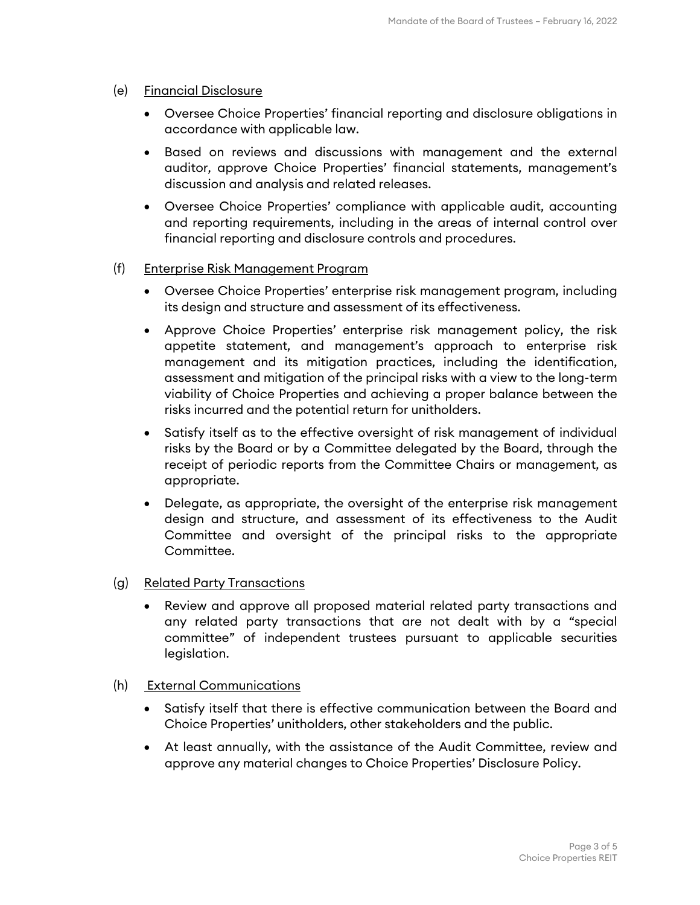#### (e) Financial Disclosure

- Oversee Choice Properties' financial reporting and disclosure obligations in accordance with applicable law.
- Based on reviews and discussions with management and the external auditor, approve Choice Properties' financial statements, management's discussion and analysis and related releases.
- Oversee Choice Properties' compliance with applicable audit, accounting and reporting requirements, including in the areas of internal control over financial reporting and disclosure controls and procedures.

#### (f) Enterprise Risk Management Program

- Oversee Choice Properties' enterprise risk management program, including its design and structure and assessment of its effectiveness.
- Approve Choice Properties' enterprise risk management policy, the risk appetite statement, and management's approach to enterprise risk management and its mitigation practices, including the identification, assessment and mitigation of the principal risks with a view to the long-term viability of Choice Properties and achieving a proper balance between the risks incurred and the potential return for unitholders.
- Satisfy itself as to the effective oversight of risk management of individual risks by the Board or by a Committee delegated by the Board, through the receipt of periodic reports from the Committee Chairs or management, as appropriate.
- Delegate, as appropriate, the oversight of the enterprise risk management design and structure, and assessment of its effectiveness to the Audit Committee and oversight of the principal risks to the appropriate Committee.
- (g) Related Party Transactions
	- Review and approve all proposed material related party transactions and any related party transactions that are not dealt with by a "special committee" of independent trustees pursuant to applicable securities legislation.
- (h) External Communications
	- Satisfy itself that there is effective communication between the Board and Choice Properties' unitholders, other stakeholders and the public.
	- At least annually, with the assistance of the Audit Committee, review and approve any material changes to Choice Properties' Disclosure Policy.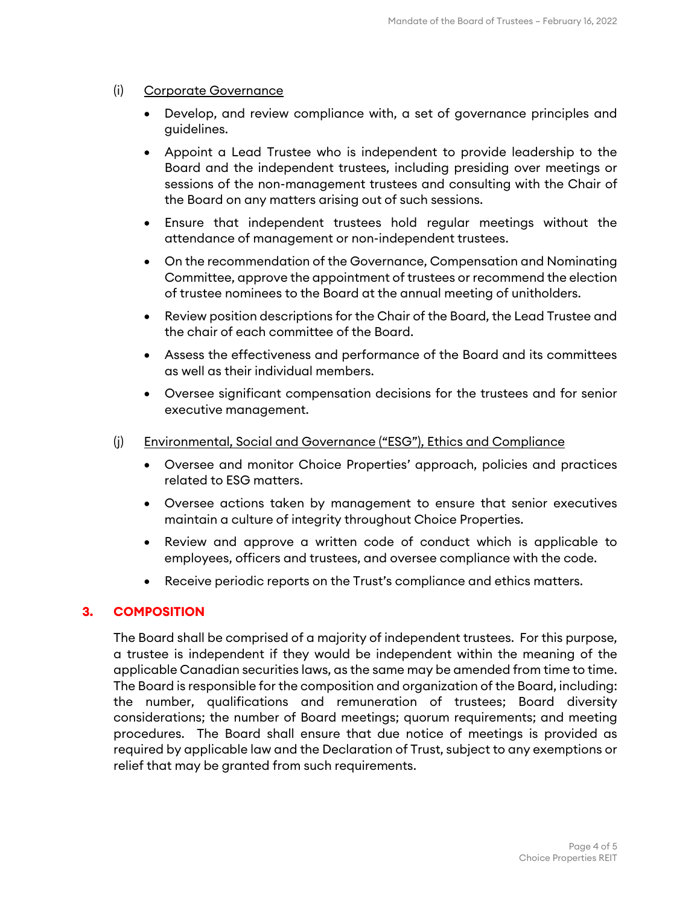#### (i) Corporate Governance

- Develop, and review compliance with, a set of governance principles and guidelines.
- Appoint a Lead Trustee who is independent to provide leadership to the Board and the independent trustees, including presiding over meetings or sessions of the non-management trustees and consulting with the Chair of the Board on any matters arising out of such sessions.
- Ensure that independent trustees hold regular meetings without the attendance of management or non-independent trustees.
- On the recommendation of the Governance, Compensation and Nominating Committee, approve the appointment of trustees or recommend the election of trustee nominees to the Board at the annual meeting of unitholders.
- Review position descriptions for the Chair of the Board, the Lead Trustee and the chair of each committee of the Board.
- Assess the effectiveness and performance of the Board and its committees as well as their individual members.
- Oversee significant compensation decisions for the trustees and for senior executive management.
- (j) Environmental, Social and Governance ("ESG"), Ethics and Compliance
	- Oversee and monitor Choice Properties' approach, policies and practices related to ESG matters.
	- Oversee actions taken by management to ensure that senior executives maintain a culture of integrity throughout Choice Properties.
	- Review and approve a written code of conduct which is applicable to employees, officers and trustees, and oversee compliance with the code.
	- Receive periodic reports on the Trust's compliance and ethics matters.

#### **3. COMPOSITION**

The Board shall be comprised of a majority of independent trustees. For this purpose, a trustee is independent if they would be independent within the meaning of the applicable Canadian securities laws, as the same may be amended from time to time. The Board is responsible for the composition and organization of the Board, including: the number, qualifications and remuneration of trustees; Board diversity considerations; the number of Board meetings; quorum requirements; and meeting procedures. The Board shall ensure that due notice of meetings is provided as required by applicable law and the Declaration of Trust, subject to any exemptions or relief that may be granted from such requirements.